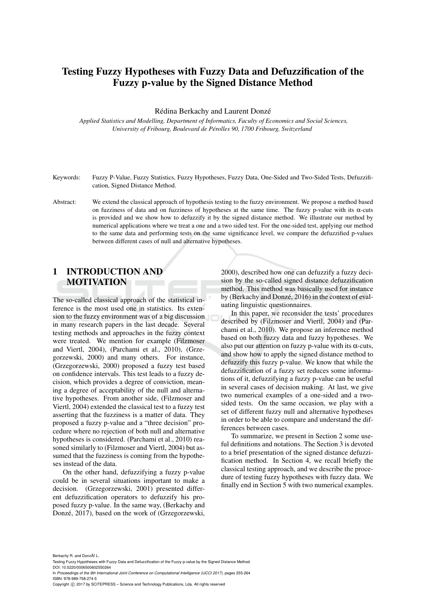# Testing Fuzzy Hypotheses with Fuzzy Data and Defuzzification of the Fuzzy p-value by the Signed Distance Method

Rédina Berkachy and Laurent Donzé

*Applied Statistics and Modelling, Department of Informatics, Faculty of Economics and Social Sciences, University of Fribourg, Boulevard de Perolles 90, 1700 Fribourg, Switzerland ´*

- Keywords: Fuzzy P-Value, Fuzzy Statistics, Fuzzy Hypotheses, Fuzzy Data, One-Sided and Two-Sided Tests, Defuzzification, Signed Distance Method.
- Abstract: We extend the classical approach of hypothesis testing to the fuzzy environment. We propose a method based on fuzziness of data and on fuzziness of hypotheses at the same time. The fuzzy p-value with its  $\alpha$ -cuts is provided and we show how to defuzzify it by the signed distance method. We illustrate our method by numerical applications where we treat a one and a two sided test. For the one-sided test, applying our method to the same data and performing tests on the same significance level, we compare the defuzzified p-values between different cases of null and alternative hypotheses.

# 1 INTRODUCTION AND MOTIVATION

The so-called classical approach of the statistical inference is the most used one in statistics. Its extension to the fuzzy environment was of a big discussion in many research papers in the last decade. Several testing methods and approaches in the fuzzy context were treated. We mention for example (Filzmoser and Viertl, 2004), (Parchami et al., 2010), (Grzegorzewski, 2000) and many others. For instance, (Grzegorzewski, 2000) proposed a fuzzy test based on confidence intervals. This test leads to a fuzzy decision, which provides a degree of conviction, meaning a degree of acceptability of the null and alternative hypotheses. From another side, (Filzmoser and Viertl, 2004) extended the classical test to a fuzzy test asserting that the fuzziness is a matter of data. They proposed a fuzzy p-value and a "three decision" procedure where no rejection of both null and alternative hypotheses is considered. (Parchami et al., 2010) reasoned similarly to (Filzmoser and Viertl, 2004) but assumed that the fuzziness is coming from the hypotheses instead of the data.

On the other hand, defuzzifying a fuzzy p-value could be in several situations important to make a decision. (Grzegorzewski, 2001) presented different defuzzification operators to defuzzify his proposed fuzzy p-value. In the same way, (Berkachy and Donzé, 2017), based on the work of (Grzegorzewski,

2000), described how one can defuzzify a fuzzy decision by the so-called signed distance defuzzification method. This method was basically used for instance by (Berkachy and Donzé, 2016) in the context of evaluating linguistic questionnaires.

In this paper, we reconsider the tests' procedures described by (Filzmoser and Viertl, 2004) and (Parchami et al., 2010). We propose an inference method based on both fuzzy data and fuzzy hypotheses. We also put our attention on fuzzy p-value with its  $\alpha$ -cuts, and show how to apply the signed distance method to defuzzify this fuzzy p-value. We know that while the defuzzification of a fuzzy set reduces some informations of it, defuzzifying a fuzzy p-value can be useful in several cases of decision making. At last, we give two numerical examples of a one-sided and a twosided tests. On the same occasion, we play with a set of different fuzzy null and alternative hypotheses in order to be able to compare and understand the differences between cases.

To summarize, we present in Section 2 some useful definitions and notations. The Section 3 is devoted to a brief presentation of the signed distance defuzzification method. In Section 4, we recall briefly the classical testing approach, and we describe the procedure of testing fuzzy hypotheses with fuzzy data. We finally end in Section 5 with two numerical examples.

Berkachy R. and DonzÃl' L.

Testing Fuzzy Hypotheses with Fuzzy Data and Defuzzification of the Fuzzy p-value by the Signed Distance Method. DOI: 10.5220/0006500602550264

In *Proceedings of the 9th International Joint Conference on Computational Intelligence (IJCCI 2017)*, pages 255-264 ISBN: 978-989-758-274-5

Copyright (C) 2017 by SCITEPRESS - Science and Technology Publications, Lda. All rights reserved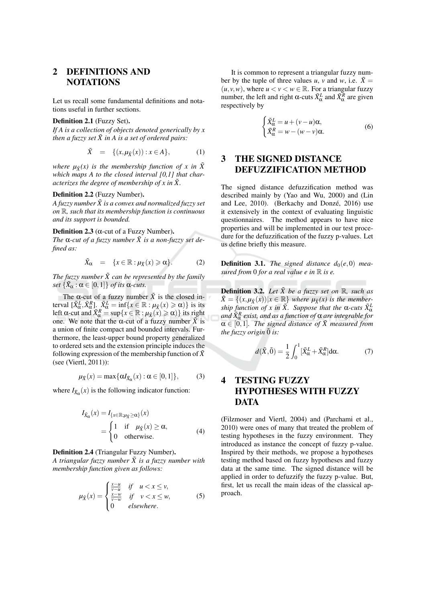### $\overline{2}$ **DEFINITIONS AND NOTATIONS**

Let us recall some fundamental definitions and notations useful in further sections.

## Definition 2.1 (Fuzzy Set).

If A is a collection of objects denoted generically by  $x$ then a fuzzy set  $\tilde{X}$  in A is a set of ordered pairs:

$$
\tilde{X} = \{(x, \mu_{\tilde{X}}(x)) : x \in A\},\tag{1}
$$

where  $\mu_{\tilde{X}}(x)$  is the membership function of x in  $\tilde{X}$ which maps A to the closed interval  $[0,1]$  that characterizes the degree of membership of x in  $\tilde{X}$ .

## Definition 2.2 (Fuzzy Number).

A fuzzy number  $\tilde{X}$  is a convex and normalized fuzzy set on  $\mathbb R$ , such that its membership function is continuous and its support is bounded.

## Definition 2.3 ( $\alpha$ -cut of a Fuzzy Number).

The  $\alpha$ -cut of a fuzzy number  $\tilde{X}$  is a non-fuzzy set defined as:

$$
\tilde{X}_{\alpha} = \{x \in \mathbb{R} : \mu_{\tilde{X}}(x) \geqslant \alpha\}.
$$
 (2)

The fuzzy number  $\tilde{X}$  can be represented by the family set  $\{\tilde{X}_{\alpha} : \alpha \in [0,1]\}$  of its  $\alpha$ -cuts.

The  $\alpha$ -cut of a fuzzy number  $\tilde{X}$  is the closed in-<br>terval  $[\tilde{X}_{\alpha}^L, \tilde{X}_{\alpha}^R]$ .  $\tilde{X}_{\alpha}^L = \inf\{x \in \mathbb{R} : \mu_{\tilde{X}}(x) \ge \alpha\}$  is its<br>left  $\alpha$ -cut and  $\tilde{X}_{\alpha}^R = \sup\{x \in \mathbb{R} : \mu_{\tilde{X}}(x) \ge \alpha\}$  its right one. We note that the  $\alpha$ -cut of a fuzzy number  $\tilde{X}$  is a union of finite compact and bounded intervals. Furthermore, the least-upper bound property generalized to ordered sets and the extension principle induces the following expression of the membership function of  $\tilde{X}$ (see (Viertl, 2011)):

$$
\mu_{\tilde{X}}(x) = \max\{\alpha I_{\tilde{X}_{\alpha}}(x) : \alpha \in [0,1]\},\tag{3}
$$

where  $I_{\tilde{X}_{\alpha}}(x)$  is the following indicator function:

$$
I_{\tilde{X}_{\alpha}}(x) = I_{\{x \in \mathbb{R}; \mu_{\tilde{X}} \ge \alpha\}}(x)
$$
  
= 
$$
\begin{cases} 1 & \text{if } \mu_{\tilde{X}}(x) \ge \alpha, \\ 0 & \text{otherwise.} \end{cases}
$$
 (4)

## Definition 2.4 (Triangular Fuzzy Number).

A triangular fuzzy number  $\tilde{X}$  is a fuzzy number with membership function given as follows:

$$
\mu_{\tilde{X}}(x) = \begin{cases} \frac{x-u}{v-u} & \text{if } u < x \le v, \\ \frac{x-w}{v-w} & \text{if } v < x \le w, \\ 0 & \text{elsewhere.} \end{cases}
$$
 (5)

It is common to represent a triangular fuzzy number by the tuple of three values u, v and w, i.e.  $\tilde{X} =$  $(u, v, w)$ , where  $u < v < w \in \mathbb{R}$ . For a triangular fuzzy number, the left and right α-cuts  $\tilde{X}^L_{\alpha}$  and  $\tilde{X}^R_{\alpha}$  are given respectively by

$$
\begin{cases}\n\tilde{X}_{\alpha}^{L} = u + (v - u)\alpha, \\
\tilde{X}_{\alpha}^{R} = w - (w - v)\alpha.\n\end{cases} \tag{6}
$$

## **THE SIGNED DISTANCE** 3 **DEFUZZIFICATION METHOD**

The signed distance defuzzification method was described mainly by (Yao and Wu, 2000) and (Lin and Lee, 2010). (Berkachy and Donzé, 2016) use it extensively in the context of evaluating linguistic questionnaires. The method appears to have nice properties and will be implemented in our test procedure for the defuzzification of the fuzzy p-values. Let us define briefly this measure.

**Definition 3.1.** The signed distance  $d_0(e, 0)$  measured from 0 for a real value e in  $\mathbb R$  is e.

**Definition 3.2.** Let  $\tilde{X}$  be a fuzzy set on  $\mathbb{R}$ , such as  $\tilde{X} = \{(x, \mu_{\tilde{X}}(x)) | x \in \mathbb{R}\}\$  where  $\mu_{\tilde{X}}(x)$  is the membership function of x in  $\tilde{X}$ . Suppose that the  $\alpha$ -cuts  $\tilde{X}^L_{\alpha}$ and  $\tilde{X}_{\alpha}^{R}$  exist, and as a function of  $\alpha$  are integrable for  $\alpha \in [0,1]$ . The signed distance of  $\tilde{X}$  measured from the fuzzy origin  $\tilde{0}$  is:

$$
d(\tilde{X},\tilde{0}) = \frac{1}{2} \int_0^1 [\tilde{X}_{\alpha}^L + \tilde{X}_{\alpha}^R] d\alpha.
$$
 (7)

## **TESTING FUZZY**  $\boldsymbol{4}$ **HYPOTHESES WITH FUZZY DATA**

(Filzmoser and Viertl, 2004) and (Parchami et al., 2010) were ones of many that treated the problem of testing hypotheses in the fuzzy environment. They introduced as instance the concept of fuzzy p-value. Inspired by their methods, we propose a hypotheses testing method based on fuzzy hypotheses and fuzzy data at the same time. The signed distance will be applied in order to defuzzify the fuzzy p-value. But, first, let us recall the main ideas of the classical approach.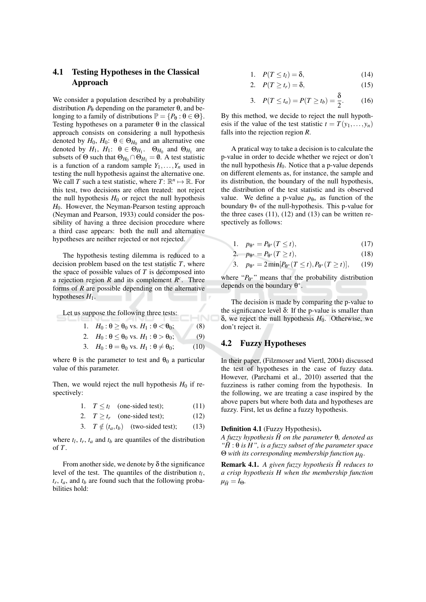### **Testing Hypotheses in the Classical** 4.1 Approach

We consider a population described by a probability distribution  $P_{\theta}$  depending on the parameter  $\theta$ , and belonging to a family of distributions  $\mathbb{P} = \{P_{\theta} : \theta \in \Theta\}.$ Testing hypotheses on a parameter  $\theta$  in the classical approach consists on considering a null hypothesis denoted by  $H_0$ ,  $H_0$ :  $\theta \in \Theta_{H_0}$  and an alternative one denoted by  $H_1$ ,  $H_1$ :  $\theta \in \Theta_{H_1}$ .  $\Theta_{H_0}$  and  $\Theta_{H_1}$  are subsets of  $\Theta$  such that  $\Theta_{H_0} \cap \Theta_{H_1} = \emptyset$ . A test statistic is a function of a random sample  $Y_1, \ldots, Y_n$  used in testing the null hypothesis against the alternative one. We call T such a test statistic, where  $T: \mathbb{R}^n \mapsto \mathbb{R}$ . For this test, two decisions are often treated: not reject the null hypothesis  $H_0$  or reject the null hypothesis  $H_0$ . However, the Neyman-Pearson testing approach (Neyman and Pearson, 1933) could consider the possibility of having a three decision procedure where a third case appears: both the null and alternative hypotheses are neither rejected or not rejected.

The hypothesis testing dilemma is reduced to a decision problem based on the test statistic  $T$ , where the space of possible values of  $T$  is decomposed into a rejection region R and its complement  $R<sup>c</sup>$ . Three forms of  $R$  are possible depending on the alternative hypotheses  $H_1$ .

Let us suppose the following three tests:

1. 
$$
H_0: \theta \ge \theta_0
$$
 vs.  $H_1: \theta < \theta_0$ ;\t(8)  
2.  $H_0: \theta < \theta_0$  vs.  $H_1: \theta > \theta_0$ ;\t(9)

-INC

3. 
$$
H_0: \theta = \theta_0
$$
 vs.  $H_1: \theta \neq \theta_0$ ; (10)

where  $\theta$  is the parameter to test and  $\theta_0$  a particular value of this parameter.

Then, we would reject the null hypothesis  $H_0$  if respectively:

1. 
$$
T \le t_l
$$
 (one-sided test); (11)

2. 
$$
T \ge t_r
$$
 (one-sided test); (12)

3. 
$$
T \notin (t_a, t_b)
$$
 (two-sided test); (13)

where  $t_l$ ,  $t_r$ ,  $t_a$  and  $t_b$  are quantiles of the distribution of  $T$ .

From another side, we denote by  $\delta$  the significance level of the test. The quantiles of the distribution  $t_l$ ,  $t_r$ ,  $t_a$ , and  $t_b$  are found such that the following probabilities hold:

1. 
$$
P(T \le t_l) = \delta,
$$
 (14)

$$
2. \quad P(T \ge t_r) = \delta, \tag{15}
$$

3. 
$$
P(T \le t_a) = P(T \ge t_b) = \frac{\delta}{2}
$$
. (16)

By this method, we decide to reject the null hypothesis if the value of the test statistic  $t = T(y_1,..., y_n)$ falls into the rejection region  $R$ .

A pratical way to take a decision is to calculate the p-value in order to decide whether we reject or don't the null hypothesis  $H_0$ . Notice that a p-value depends on different elements as, for instance, the sample and its distribution, the boundary of the null hypothesis, the distribution of the test statistic and its observed value. We define a p-value  $p_{\theta*}$  as function of the boundary  $\theta$  × of the null-hypothesis. This p-value for the three cases  $(11)$ ,  $(12)$  and  $(13)$  can be written respectively as follows:

$$
1. \quad p_{\Theta^*} = P_{\Theta^*}(T \le t), \tag{17}
$$

2. 
$$
p_{\theta^*} = P_{\theta^*}(T \ge t),
$$
 (18)

3. 
$$
p_{\theta^*} = 2 \min[P_{\theta^*}(T \le t), P_{\theta^*}(T \ge t)],
$$
 (19)

where " $P_{\theta^*}$ " means that the probability distribution depends on the boundary  $\theta^*$ .

The decision is made by comparing the p-value to the significance level  $\delta$ : If the p-value is smaller than  $\delta$ , we reject the null hypothesis  $H_0$ . Otherwise, we don't reject it.

## **4.2 Fuzzy Hypotheses**

In their paper, (Filzmoser and Viertl, 2004) discussed the test of hypotheses in the case of fuzzy data. However, (Parchami et al., 2010) asserted that the fuzziness is rather coming from the hypothesis. In the following, we are treating a case inspired by the above papers but where both data and hypotheses are fuzzy. First, let us define a fuzzy hypothesis.

## **Definition 4.1** (Fuzzy Hypothesis).

A fuzzy hypothesis  $\tilde{H}$  on the parameter  $\theta$ , denoted as " $\tilde{H}$ :  $\theta$  is H", is a fuzzy subset of the parameter space  $\Theta$  with its corresponding membership function  $\mu_{\tilde{\mu}}$ .

**Remark 4.1.** A given fuzzy hypothesis  $\tilde{H}$  reduces to a crisp hypothesis H when the membership function  $\mu_{\tilde{H}} = I_{\Theta}.$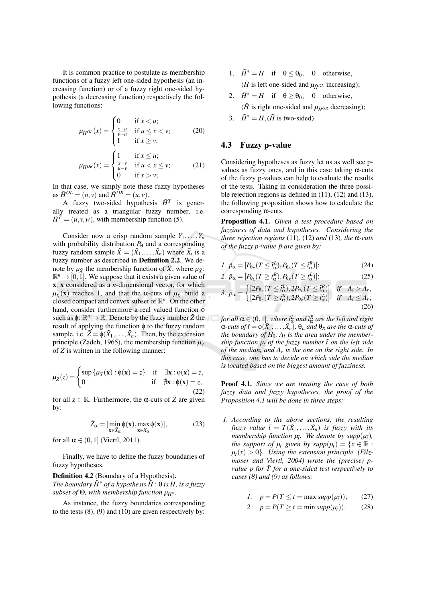It is common practice to postulate as membership functions of a fuzzy left one-sided hypothesis (an increasing function) or of a fuzzy right one-sided hypothesis (a decreasing function) respectively the following functions:

$$
\mu_{\tilde{H}^{OL}}(x) = \begin{cases} 0 & \text{if } x < u; \\ \frac{x - u}{v - u} & \text{if } u \le x < v; \\ 1 & \text{if } x \ge v. \end{cases} \tag{20}
$$

$$
\mu_{\tilde{H}^{OR}}(x) = \begin{cases} 1 & \text{if } x \le u; \\ \frac{x - v}{u - v} & \text{if } u < x \le v; \\ 0 & \text{if } x > v; \end{cases} \tag{21}
$$

In that case, we simply note these fuzzy hypotheses as  $\tilde{H}^{OL} = (u, v)$  and  $\tilde{H}^{OR} = (u, v)$ .

A fuzzy two-sided hypothesis  $\tilde{H}^T$  is generally treated as a triangular fuzzy number, i.e.  $\tilde{H}^T = (u, v, w)$ , with membership function (5).

Consider now a crisp random sample  $Y_1, \ldots, Y_n$ with probability distribution  $P_{\theta}$  and a corresponding fuzzy random sample  $\tilde{X} = (\tilde{X}_1, \dots, \tilde{X}_n)$  where  $\tilde{X}_i$  is a fuzzy number as described in Definition 2.2. We denote by  $\mu_{\tilde{X}}$  the membership function of  $\tilde{X}$ , where  $\mu_{\tilde{X}}$ :  $\mathbb{R}^n \to [0,1]$ . We suppose that it exists a given value of  $x$ ,  $x$  considered as a *n*-dimensional vector, for which  $\mu_{\tilde{X}}(x)$  reaches 1, and that the  $\alpha$ -cuts of  $\mu_{\tilde{X}}$  build a closed compact and convex subset of  $\mathbb{R}^n$ . On the other hand, consider furthermore a real valued function  $\phi$ such as  $\phi: \mathbb{R}^n \to \mathbb{R}$ . Denote by the fuzzy number  $\tilde{Z}$  the result of applying the function  $\phi$  to the fuzzy random sample, i.e.  $\tilde{Z} = \phi(\tilde{X}_1, \dots, \tilde{X}_n)$ . Then, by the extension principle (Zadeh, 1965), the membership function  $\mu_{\tilde{z}}$ of  $\tilde{Z}$  is written in the following manner:

$$
\mu_{\tilde{Z}}(z) = \begin{cases} \sup \{ \mu_{\tilde{X}}(\mathbf{x}) : \phi(\mathbf{x}) = z \} & \text{if } \exists \mathbf{x} : \phi(\mathbf{x}) = z, \\ 0 & \text{if } \nexists \mathbf{x} : \phi(\mathbf{x}) = z, \end{cases}
$$

for all  $z \in \mathbb{R}$ . Furthermore, the  $\alpha$ -cuts of  $\tilde{Z}$  are given by:

$$
\tilde{Z}_{\alpha} = [\min_{\mathbf{x} \in \tilde{X}_{\alpha}} \phi(\mathbf{x}), \max_{\mathbf{x} \in \tilde{X}_{\alpha}} \phi(\mathbf{x})], \tag{23}
$$

for all  $\alpha \in (0,1]$  (Viertl, 2011).

Finally, we have to define the fuzzy boundaries of fuzzy hypotheses.

**Definition 4.2** (Boundary of a Hypothesis). The boundary  $\tilde{H}^*$  of a hypothesis  $\tilde{H}$ :  $\theta$  is H, is a fuzzy subset of  $\Theta$ , with membership function  $\mu_{H^*}$ .

As instance, the fuzzy boundaries corresponding to the tests  $(8)$ ,  $(9)$  and  $(10)$  are given respectively by:

- 1.  $\tilde{H}^* = H$  if  $\theta \le \theta_0$ , 0 otherwise, ( $\tilde{H}$  is left one-sided and  $\mu_{\tilde{H}^{OL}}$  increasing);
- 2.  $\tilde{H}^* = H$  if  $\theta \ge \theta_0$ , 0 otherwise, ( $\tilde{H}$  is right one-sided and  $\mu_{\tilde{H}^{OR}}$  decreasing);
- 3.  $\tilde{H}^* = H, (\tilde{H} \text{ is two-sided}).$

## 4.3 Fuzzy p-value

Considering hypotheses as fuzzy let us as well see pvalues as fuzzy ones, and in this case taking  $\alpha$ -cuts of the fuzzy p-values can help to evaluate the results of the tests. Taking in consideration the three possible rejection regions as defined in  $(11)$ ,  $(12)$  and  $(13)$ , the following proposition shows how to calculate the corresponding  $\alpha$ -cuts.

Proposition 4.1. Given a test procedure based on fuzziness of data and hypotheses. Considering the three rejection regions (11), (12) and (13), the  $\alpha$ -cuts of the fuzzy p-value  $\tilde{p}$  are given by:

$$
I. \ \tilde{p}_{\alpha} = [P_{\theta_R}(T \leq \tilde{t}_{\alpha}^L), P_{\theta_L}(T \leq \tilde{t}_{\alpha}^R)]; \tag{24}
$$

$$
2. \ \tilde{p}_{\alpha} = [P_{\theta_L}(T \geq \tilde{t}_{\alpha}^R), P_{\theta_R}(T \geq \tilde{t}_{\alpha}^L)]; \tag{25}
$$

$$
3. \tilde{p}_{\alpha} = \begin{cases} [2P_{\theta_R}(T \leq \tilde{t}_{\alpha}^L), 2P_{\theta_L}(T \leq \tilde{t}_{\alpha}^R)] & \text{if} \quad A_l > A_r, \\ [2P_{\theta_L}(T \geq \tilde{t}_{\alpha}^R), 2P_{\theta_R}(T \geq \tilde{t}_{\alpha}^L)] & \text{if} \quad A_l \leq A_r; \end{cases}
$$
\n
$$
(26)
$$

for all  $\alpha \in (0,1]$ , where  $\tilde{t}_{\alpha}^{L}$  and  $\tilde{t}_{\alpha}^{R}$  are the left and right  $\alpha$ -cuts of  $\tilde{t} = \phi(\tilde{X}_1, \ldots, \tilde{X}_n)$ ,  $\theta_L$  and  $\theta_R$  are the  $\alpha$ -cuts of the boundary of  $\tilde{H}_0$ ,  $A_l$  is the area under the membership function  $\mu_{\tilde{t}}$  of the fuzzy number  $\tilde{t}$  on the left side of the median, and  $A_r$  is the one on the right side. In this case, one has to decide on which side the median is located based on the biggest amount of fuzziness.

**Proof 4.1.** Since we are treating the case of both fuzzy data and fuzzy hypotheses, the proof of the Proposition 4.1 will be done in three steps:

1. According to the above sections, the resulting fuzzy value  $\tilde{t} = T(\tilde{X}_1, ..., \tilde{X}_n)$  is fuzzy with its membership function  $\mu_{\tilde{t}}$ . We denote by supp $(\mu_{\tilde{t}})$ , the support of  $\mu_{\tilde{t}}$  given by supp $(\mu_{\tilde{t}}) = \{x \in \mathbb{R} :$  $\mu_{\tilde{t}}(x) > 0$ . Using the extension principle, (Filzmoser and Viertl, 2004) wrote the (precise) pvalue  $p$  for  $\tilde{T}$  for a one-sided test respectively to cases  $(8)$  and  $(9)$  as follows:

$$
1. \quad p = P(T \le t = \max \text{supp}(\mu_{\tilde{t}})); \qquad (27)
$$

$$
2. \quad p = P(T \ge t = \min \, supp(\mu_{\tilde{t}})). \tag{28}
$$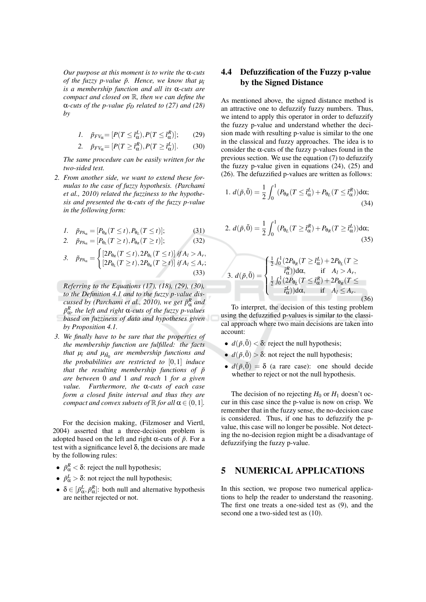Our purpose at this moment is to write the  $\alpha$ -cuts of the fuzzy p-value  $\tilde{p}$ . Hence, we know that  $\mu_{\tilde{t}}$ is a membership function and all its  $\alpha$ -cuts are compact and closed on  $\mathbb R$ , then we can define the  $\alpha$ -cuts of the p-value  $\tilde{p}_D$  related to (27) and (28)  $by$ 

$$
1. \quad \tilde{p}_{FV_{\alpha}} = [P(T \leq \tilde{t}_{\alpha}^{L}), P(T \leq \tilde{t}_{\alpha}^{R})]; \qquad (29)
$$

2. 
$$
\tilde{p}_{FV_{\alpha}} = [P(T \geq \tilde{t}_{\alpha}^{R}), P(T \geq \tilde{t}_{\alpha}^{L})].
$$
 (30)

The same procedure can be easily written for the two-sided test.

2. From another side, we want to extend these formulas to the case of fuzzy hypothesis. (Parchami et al., 2010) related the fuzziness to the hypothesis and presented the  $\alpha$ -cuts of the fuzzy p-value in the following form:

$$
1. \quad \tilde{p}_{P A_{\alpha}} = [P_{\theta_R}(T \le t), P_{\theta_L}(T \le t)]; \tag{31}
$$

2. 
$$
\tilde{p}_{PA_{\alpha}} = [P_{\theta_L}(T \ge t), P_{\theta_R}(T \ge t)]; \qquad (32)
$$

$$
\tilde{\jmath}_{PA_{\alpha}} = \begin{cases} \left[2P_{\theta_R}(T \leq t), 2P_{\theta_L}(T \leq t)\right] \, \text{if } A_l > A_r, \\ \left[2P_{\theta_L}(T \geq t), 2P_{\theta_R}(T \geq t)\right] \, \text{if } A_l \leq A_r; \end{cases} \tag{33}
$$

Referring to the Equations  $(17)$ ,  $(18)$ ,  $(29)$ ,  $(30)$ , to the Definition 4.1 and to the fuzzy p-value discussed by (Parchami et al., 2010), we get  $\tilde{p}^R_{\alpha}$  and  $\tilde{p}_{\alpha}^{R}$ , the left and right  $\alpha$ -cuts of the fuzzy p-values based on fuzziness of data and hypotheses given by Proposition 4.1.

3. We finally have to be sure that the properties of the membership function are fulfilled: the facts that  $\mu_{\tilde{t}}$  and  $\mu_{\tilde{H}_0}$  are membership functions and the probabilities are restricted to  $[0,1]$  induce that the resulting membership functions of  $\tilde{p}$ are between 0 and 1 and reach 1 for a given value. Furthermore, the  $\alpha$ -cuts of each case form a closed finite interval and thus they are compact and convex subsets of  $\mathbb R$  for all  $\alpha \in (0,1]$ .

For the decision making, (Filzmoser and Viertl, 2004) asserted that a three-decision problem is adopted based on the left and right  $\alpha$ -cuts of  $\tilde{p}$ . For a test with a significance level  $\delta$ , the decisions are made by the following rules:

- $\tilde{p}_{\alpha}^{R} < \delta$ : reject the null hypothesis;
- $\tilde{p}_{\alpha}^{L} > \delta$ : not reject the null hypothesis;
- $\delta \in [\tilde{p}_{\alpha}^{L}, \tilde{p}_{\alpha}^{R}]$ : both null and alternative hypothesis are neither rejected or not.

### **Defuzzification of the Fuzzy p-value** 4.4 by the Signed Distance

As mentioned above, the signed distance method is an attractive one to defuzzify fuzzy numbers. Thus, we intend to apply this operator in order to defuzzify the fuzzy p-value and understand whether the decision made with resulting p-value is similar to the one in the classical and fuzzy approaches. The idea is to consider the  $\alpha$ -cuts of the fuzzy p-values found in the previous section. We use the equation  $(7)$  to defuzzify the fuzzy p-value given in equations  $(24)$ ,  $(25)$  and (26). The defuzzified p-values are written as follows:

1. 
$$
d(\tilde{p}, \tilde{0}) = \frac{1}{2} \int_0^1 (P_{\theta_R}(T \leq \tilde{t}_{\alpha}^L) + P_{\theta_L}(T \leq \tilde{t}_{\alpha}^R)) d\alpha;
$$
 (34)

2. 
$$
d(\tilde{p}, \tilde{0}) = \frac{1}{2} \int_0^1 (P_{\theta_L}(T \geq \tilde{t}_{\alpha}^R) + P_{\theta_R}(T \geq \tilde{t}_{\alpha}^L)) d\alpha;
$$
 (35)

3. 
$$
d(\tilde{p}, \tilde{0}) = \begin{cases} \frac{1}{2} \int_0^1 (2P_{\theta_R}(T \geq \tilde{t}_{\alpha}^L) + 2P_{\theta_L}(T \geq \\ \tilde{t}_{\alpha}^R) d\alpha, & \text{if } A_l > A_r, \\ \frac{1}{2} \int_0^1 (2P_{\theta_L}(T \leq \tilde{t}_{\alpha}^R) + 2P_{\theta_R}(T \leq \\ \tilde{t}_{\alpha}^L)) d\alpha, & \text{if } A_l \leq A_r. \end{cases}
$$
(36)

To interpret, the decision of this testing problem using the defuzzified p-values is similar to the classical approach where two main decisions are taken into account:

- $d(\tilde{p}, \tilde{0}) < \delta$ : reject the null hypothesis;
- $d(\tilde{p}, \tilde{0}) > \delta$ : not reject the null hypothesis;
- $d(\tilde{p}, \tilde{0}) = \delta$  (a rare case): one should decide whether to reject or not the null hypothesis.

The decision of no rejecting  $H_0$  or  $H_1$  doesn't occur in this case since the p-value is now on crisp. We remember that in the fuzzy sense, the no-decision case is considered. Thus, if one has to defuzzify the pvalue, this case will no longer be possible. Not detecting the no-decision region might be a disadvantage of defuzzifying the fuzzy p-value.

#### **NUMERICAL APPLICATIONS** 5

In this section, we propose two numerical applications to help the reader to understand the reasoning. The first one treats a one-sided test as (9), and the second one a two-sided test as (10).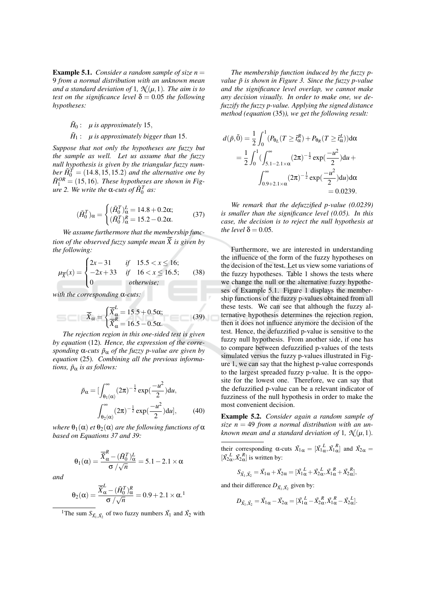**Example 5.1.** Consider a random sample of size  $n =$ 9 from a normal distribution with an unknown mean and a standard deviation of 1,  $\mathcal{N}(\mu, 1)$ . The aim is to test on the significance level  $\delta = 0.05$  the following hypotheses:

 $\tilde{H}_0$ :  $\mu$  is approximately 15,

## $\tilde{H}_1$ :  $\mu$  is approximately bigger than 15.

Suppose that not only the hypotheses are fuzzy but the sample as well. Let us assume that the fuzzy null hypothesis is given by the triangular fuzzy number  $\tilde{H}_0^T$  = (14.8, 15, 15.2) and the alternative one by  $\tilde{H}^{OR}_1$  = (15,16). These hypotheses are shown in Fig*ure* 2. We write the α-cuts of  $H_0^T$  as:

$$
(\tilde{H}_0^T)_{\alpha} = \begin{cases} (\tilde{H}_0^T)_{\alpha}^L = 14.8 + 0.2\alpha; \\ (\tilde{H}_0^T)_{\alpha}^R = 15.2 - 0.2\alpha. \end{cases}
$$
(37)

We assume furthermore that the membership function of the observed fuzzy sample mean  $\overline{X}$  is given by the following:

$$
\mu_{\overline{X}}(x) = \begin{cases} 2x - 31 & \text{if} \quad 15.5 < x \le 16; \\ -2x + 33 & \text{if} \quad 16 < x \le 16.5; \\ 0 & \text{otherwise}; \end{cases} \tag{38}
$$

with the corresponding  $\alpha$ -cuts:

$$
\overline{\tilde{X}}_{\alpha} = \begin{cases} \overline{\tilde{X}}_{\alpha}^{L} = 15.5 + 0.5\alpha; \\ \overline{\tilde{X}}_{\alpha}^{R} = 16.5 - 0.5\alpha. \end{cases}
$$
(39)

The rejection region in this one-sided test is given by equation (12). Hence, the expression of the corresponding  $\alpha$ -cuts  $\tilde{p}_{\alpha}$  of the fuzzy p-value are given by equation (25). Combining all the previous informations,  $\tilde{p}_{\alpha}$  is as follows:

$$
\tilde{p}_{\alpha} = \left[\int_{\theta_1(\alpha)}^{\infty} (2\pi)^{-\frac{1}{2}} \exp(\frac{-u^2}{2}) du, \int_{\theta_2(\alpha)}^{\infty} (2\pi)^{-\frac{1}{2}} \exp(\frac{-u^2}{2}) du\right], \qquad (40)
$$

where  $\theta_1(\alpha)$  et  $\theta_2(\alpha)$  are the following functions of  $\alpha$ based on Equations 37 and 39:

$$
\theta_1(\alpha) = \frac{\overline{\tilde{X}}_{\alpha}^R - (\tilde{H}_0^T)_{\alpha}^L}{\sigma / \sqrt{n}} = 5.1 - 2.1 \times \alpha
$$

and

$$
\theta_2(\alpha) = \frac{\overline{\tilde{X}}_{\alpha}^L - (\tilde{H}_0^T)_{\alpha}^R}{\sigma / \sqrt{n}} = 0.9 + 2.1 \times \alpha^{1}
$$

<sup>1</sup>The sum  $S_{\tilde{X}_1, \tilde{X}_2}$  of two fuzzy numbers  $\tilde{X}_1$  and  $\tilde{X}_2$  with

The membership function induced by the fuzzy pvalue  $\tilde{p}$  is shown in Figure 3. Since the fuzzy p-value and the significance level overlap, we cannot make any decision visually. In order to make one, we defuzzify the fuzzy p-value. Applying the signed distance method (equation (35)), we get the following result:

$$
d(\tilde{p}, \tilde{0}) = \frac{1}{2} \int_0^1 (P_{\theta_L}(T \geq \tilde{t}_{\alpha}^R) + P_{\theta_R}(T \geq \tilde{t}_{\alpha}^L)) d\alpha
$$
  
= 
$$
\frac{1}{2} \int_0^1 (\int_{5.1-2.1 \times \alpha}^{\infty} (2\pi)^{-\frac{1}{2}} \exp(\frac{-u^2}{2}) du + \int_{0.9+2.1 \times \alpha}^{\infty} (2\pi)^{-\frac{1}{2}} \exp(\frac{-u^2}{2}) du) d\alpha
$$
  
= 0.0239.

We remark that the defuzzified p-value (0.0239) is smaller than the significance level  $(0.05)$ . In this case, the decision is to reject the null hypothesis at the level  $\delta$  = 0.05.

Furthermore, we are interested in understanding the influence of the form of the fuzzy hypotheses on the decision of the test. Let us view some variations of the fuzzy hypotheses. Table 1 shows the tests where we change the null or the alternative fuzzy hypotheses of Example 5.1. Figure 1 displays the membership functions of the fuzzy p-values obtained from all these tests. We can see that although the fuzzy alternative hypothesis determines the rejection region, then it does not influence anymore the decision of the test. Hence, the defuzzified p-value is sensitive to the fuzzy null hypothesis. From another side, if one has to compare between defuzzified p-values of the tests simulated versus the fuzzy p-values illustrated in Figure 1, we can say that the highest p-value corresponds to the largest spreaded fuzzy p-value. It is the opposite for the lowest one. Therefore, we can say that the defuzzified p-value can be a relevant indicator of fuzziness of the null hypothesis in order to make the most convenient decision.

Example 5.2. Consider again a random sample of size  $n = 49$  from a normal distribution with an unknown mean and a standard deviation of 1,  $\mathcal{N}(\mu, 1)$ .

their corresponding  $\alpha$ -cuts  $\tilde{X}_{1\alpha} = [\tilde{X}_{1\alpha}^L, \tilde{X}_{1\alpha}^R]$  and  $\tilde{X}_{2\alpha} =$  $[\tilde{X}_2^L, \tilde{X}_2^R]$  is written by:

$$
S_{\tilde{X}_1,\tilde{X}_2} = \tilde{X}_1 \alpha + \tilde{X}_2 \alpha = [\tilde{X}_1^L + \tilde{X}_2^L \tilde{X}_1^R + \tilde{X}_2^R \tilde{X}_2^R],
$$

and their difference  $D_{\tilde{X}_1, \tilde{X}_2}$  given by:

$$
D_{\tilde{X_1},\tilde{X_2}}=\tilde{X_1}_{\alpha}-\tilde{X_2}_{\alpha}=[\tilde{X_1}^L_{\alpha}-\tilde{X_2}^R_{\alpha},\tilde{X_1}^R_{\alpha}-\tilde{X_2}^L_{\alpha}].
$$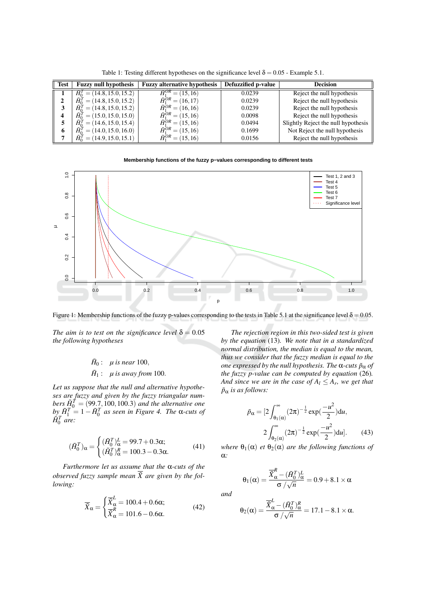| <b>Test</b> | <b>Fuzzy null hypothesis</b>             | <b>Fuzzy alternative hypothesis</b>      | Defuzzified p-value | <b>Decision</b>                     |
|-------------|------------------------------------------|------------------------------------------|---------------------|-------------------------------------|
|             | $\tilde{H}_0^T = (14.8, 15.0, 15.2)$     | $\overline{\tilde{H}_1^{OR}} = (15, 16)$ | 0.0239              | Reject the null hypothesis          |
|             | $\tilde{H}_{0}^{T} = (14.8, 15.0, 15.2)$ | $\tilde{H}_1^{OR} = (16, 17)$            | 0.0239              | Reject the null hypothesis          |
| 3           | $\tilde{H}_{0}^{T} = (14.8, 15.0, 15.2)$ | $\tilde{H}_{1}^{OR} = (16, 16)$          | 0.0239              | Reject the null hypothesis          |
|             | $\tilde{H}_{0}^{T} = (15.0, 15.0, 15.0)$ | $\tilde{H}_1^{OR} = (15, 16)$            | 0.0098              | Reject the null hypothesis          |
|             | $\hat{H}_{0}^{T} = (14.6, 15.0, 15.4)$   | $\tilde{H}_1^{OR} = (15, 16)$            | 0.0494              | Slightly Reject the null hypothesis |
| 6           | $\tilde{H}_0^T = (14.0, 15.0, 16.0)$     | $\tilde{H}_1^{OR} = (15, 16)$            | 0.1699              | Not Reject the null hypothesis      |
|             | $\tilde{H}_0^T = (14.9, 15.0, 15.1)$     | $\tilde{H}_1^{OR} = (15, 16)$            | 0.0156              | Reject the null hypothesis          |

Table 1: Testing different hypotheses on the significance level  $\delta = 0.05$  - Example 5.1.

## Membership functions of the fuzzy p-values corresponding to different tests



Figure 1: Membership functions of the fuzzy p-values corresponding to the tests in Table 5.1 at the significance level  $\delta = 0.05$ .

The aim is to test on the significance level  $\delta = 0.05$ the following hypotheses

# $\tilde{H}_0$ :  $\mu$  is near 100,  $\tilde{H}_1$ :  $\mu$  is away from 100.

Let us suppose that the null and alternative hypotheses are fuzzy and given by the fuzzy triangular numbers  $\tilde{H}_0^T = (99.7, 100, 100.3)$  and the alternative one<br>by  $\tilde{H}_1^T = 1 - \tilde{H}_0^T$  as seen in Figure 4. The  $\alpha$ -cuts of  $\check{H}_0^T$  are:

$$
(\tilde{H}_0^T)_{\alpha} = \begin{cases} (\tilde{H}_0^T)_{\alpha}^L = 99.7 + 0.3\alpha; \\ (\tilde{H}_0^T)_{\alpha}^R = 100.3 - 0.3\alpha. \end{cases}
$$
(41)

Furthermore let us assume that the  $\alpha$ -cuts of the observed fuzzy sample mean  $\overline{X}$  are given by the following:

$$
\overline{\tilde{X}}_{\alpha} = \begin{cases} \overline{\tilde{X}}_{\alpha}^{L} = 100.4 + 0.6\alpha; \\ \overline{\tilde{X}}_{\alpha}^{R} = 101.6 - 0.6\alpha. \end{cases}
$$
(42)

The rejection region in this two-sided test is given by the equation  $(13)$ . We note that in a standardized normal distribution, the median is equal to the mean. thus we consider that the fuzzy median is equal to the one expressed by the null hypothesis. The  $\alpha$ -cuts  $\tilde{p}_{\alpha}$  of the fuzzy p-value can be computed by equation  $(26)$ . And since we are in the case of  $A_l \leq A_r$ , we get that  $\tilde{p}_{\alpha}$  is as follows:

$$
\tilde{p}_{\alpha} = [2 \int_{\theta_1(\alpha)}^{\infty} (2\pi)^{-\frac{1}{2}} \exp(\frac{-u^2}{2}) du, \n2 \int_{\theta_2(\alpha)}^{\infty} (2\pi)^{-\frac{1}{2}} \exp(\frac{-u^2}{2}) du].
$$
\n(43)

where  $\theta_1(\alpha)$  et  $\theta_2(\alpha)$  are the following functions of  $\alpha$ :

$$
\theta_1(\alpha) = \frac{\overline{\tilde{X}}_{\alpha}^R - (\tilde{H}_0^T)_{\alpha}^L}{\sigma / \sqrt{n}} = 0.9 + 8.1 \times \alpha
$$

and

$$
\theta_2(\alpha) = \frac{\overline{\tilde{X}}_{\alpha}^L - (\tilde{H}_0^T)_{\alpha}^R}{\sigma / \sqrt{n}} = 17.1 - 8.1 \times \alpha
$$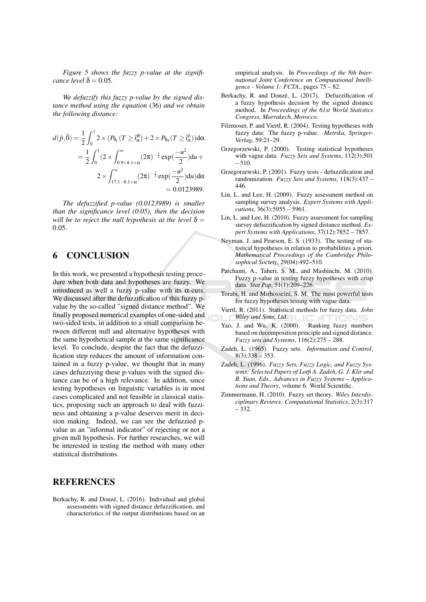Figure 5 shows the fuzzy p-value at the significance level  $\delta$  = 0.05.

We defuzzify this fuzzy p-value by the signed distance method using the equation (36) and we obtain the following distance:

$$
d(\tilde{p}, \tilde{0}) = \frac{1}{2} \int_0^1 2 \times (P_{\theta_L}(T \geq \tilde{t}_{\alpha}^R) + 2 \times P_{\theta_R}(T \geq \tilde{t}_{\alpha}^L)) d\alpha
$$
  
= 
$$
\frac{1}{2} \int_0^1 (2 \times \int_{0.9+8.1 \times \alpha}^{\infty} (2\pi)^{-\frac{1}{2}} \exp(\frac{-u^2}{2}) du +
$$
  

$$
2 \times \int_{17.1-8.1 \times \alpha}^{\infty} (2\pi)^{-\frac{1}{2}} \exp(\frac{-u^2}{2}) du d\alpha
$$
  
= 0.0123989.

The defuzzified  $p$ -value (0.0123989) is smaller than the significance level  $(0.05)$ , then the decision will be to reject the null hypothesis at the level  $\delta =$  $0.05$ 

#### **CONCLUSION** 6

In this work, we presented a hypothesis testing procedure when both data and hypotheses are fuzzy. We introduced as well a fuzzy p-value with its  $\alpha$ -cuts. We discussed after the defuzzification of this fuzzy pvalue by the so-called "signed distance method". We finally proposed numerical examples of one-sided and two-sided tests, in addition to a small comparison between different null and alternative hypotheses with the same hypothetical sample at the same significance level. To conclude, despite the fact that the defuzzification step reduces the amount of information contained in a fuzzy p-value, we thought that in many cases defuzziving these p-values with the signed distance can be of a high relevance. In addition, since testing hypotheses on linguistic variables is in most cases complicated and not feasible in classical statistics, proposing such an approach to deal with fuzziness and obtaining a p-value deserves merit in decision making. Indeed, we can see the defuzzied pvalue as an "informal indicator" of rejecting or not a given null hypothesis. For further researches, we will be interested in testing the method with many other statistical distributions.

## **REFERENCES**

Berkachy, R. and Donzé, L. (2016). Individual and global assessments with signed distance defuzzification, and characteristics of the output distributions based on an

empirical analysis. In Proceedings of the 8th International Joint Conference on Computational Intelligence - Volume 1: FCTA,, pages 75 - 82.

- Berkachy, R. and Donzé, L. (2017). Defuzzification of a fuzzy hypothesis decision by the signed distance method. In Proceedings of the 61st World Statistics Congress, Marrakech, Morocco.
- Filzmoser, P. and Viertl, R. (2004). Testing hypotheses with fuzzy data: The fuzzy p-value. Metrika, Springer-Verlag, 59:21-29.
- Grzegorzewski, P. (2000). Testing statistical hypotheses with vague data. Fuzzy Sets and Systems, 112(3):501  $-510.$
- Grzegorzewski, P. (2001). Fuzzy tests defuzzification and randomization. Fuzzy Sets and Systems, 118(3):437 -446.
- Lin, L. and Lee, H. (2009). Fuzzy assessment method on sampling survey analysis. Expert Systems with Applications,  $36(3):5955 - 5961$ .
- Lin, L. and Lee, H. (2010). Fuzzy assessment for sampling survey defuzzification by signed distance method. Expert Systems with Applications, 37(12):7852 - 7857.
- Neyman, J. and Pearson, E. S. (1933). The testing of statistical hypotheses in relation to probabilities a priori. Mathematical Proceedings of the Cambridge Philosophical Society, 29(04):492-510.
- Parchami, A., Taheri, S. M., and Mashinchi, M. (2010). Fuzzy p-value in testing fuzzy hypotheses with crisp data. Stat Pap, 51(1):209-226.
- Torabi, H. and Mirhosseini, S. M. The most powerful tests for fuzzy hypotheses testing with vague data.
- Viertl, R. (2011). Statistical methods for fuzzy data. John Wiley and Sons, Ltd.
- Yao, J. and Wu, K. (2000). Ranking fuzzy numbers based on decomposition principle and signed distance. Fuzzy sets and Systems, 116(2):275 - 288.
- Zadeh, L. (1965). Fuzzy sets. Information and Control,  $8(3):338 - 353.$
- Zadeh, L. (1996). Fuzzy Sets, Fuzzy Logic, and Fuzzy Systems: Selected Papers of Lotfi A. Zadeh, G. J. Klir and B. Yuan, Eds., Advances in Fuzzy Systems - Applications and Theory, volume 6. World Scientific.
- Zimmermann, H. (2010). Fuzzy set theory. Wiley Interdisciplinary Reviews: Computational Statistics, 2(3):317  $-332.$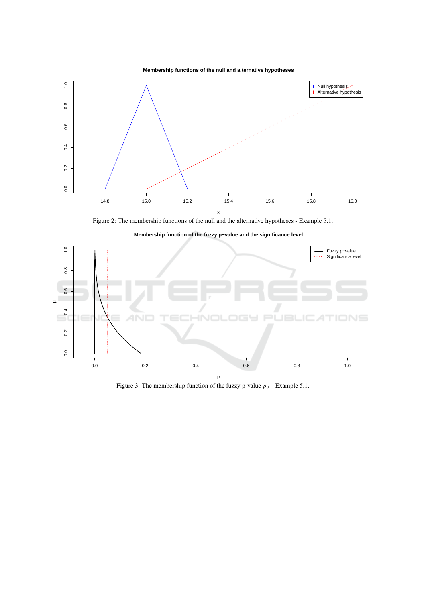



Figure 2: The membership functions of the null and the alternative hypotheses - Example 5.1.



Membership function of the fuzzy p-value and the significance level

Figure 3: The membership function of the fuzzy p-value  $\tilde{p}_{\alpha}$  - Example 5.1.